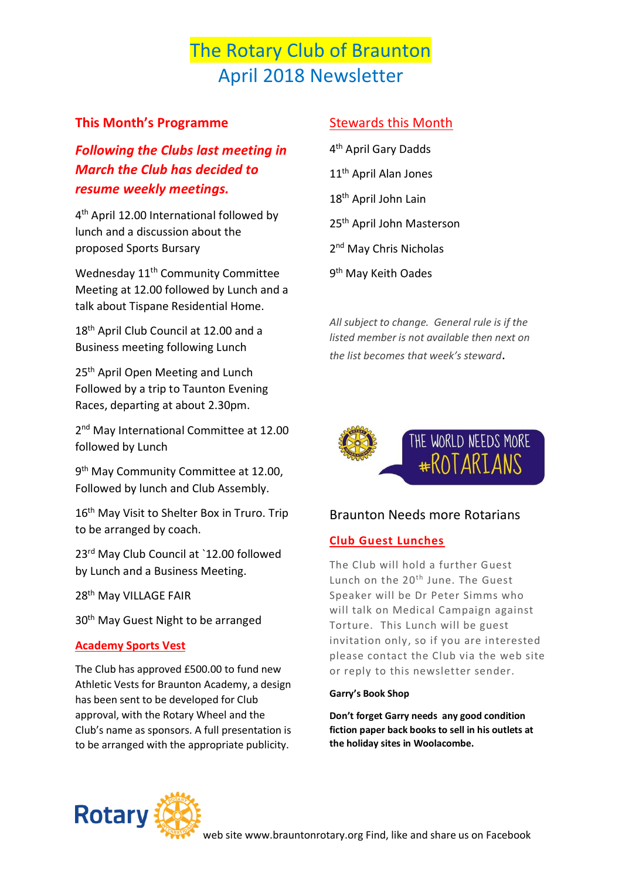# The Rotary Club of Braunton April 2018 Newsletter

### **This Month's Programme**

*Following the Clubs last meeting in March the Club has decided to resume weekly meetings.*

4<sup>th</sup> April 12.00 International followed by lunch and a discussion about the proposed Sports Bursary

Wednesday 11<sup>th</sup> Community Committee Meeting at 12.00 followed by Lunch and a talk about Tispane Residential Home.

18<sup>th</sup> April Club Council at 12.00 and a Business meeting following Lunch

25<sup>th</sup> April Open Meeting and Lunch Followed by a trip to Taunton Evening Races, departing at about 2.30pm.

2<sup>nd</sup> May International Committee at 12.00 followed by Lunch

9<sup>th</sup> May Community Committee at 12.00, Followed by lunch and Club Assembly.

16<sup>th</sup> May Visit to Shelter Box in Truro. Trip to be arranged by coach.

23rd May Club Council at `12.00 followed by Lunch and a Business Meeting.

28<sup>th</sup> May VILLAGE FAIR

30<sup>th</sup> May Guest Night to be arranged

#### **Academy Sports Vest**

The Club has approved £500.00 to fund new Athletic Vests for Braunton Academy, a design has been sent to be developed for Club approval, with the Rotary Wheel and the Club's name as sponsors. A full presentation is to be arranged with the appropriate publicity.

## Stewards this Month

4 th April Gary Dadds 11th April Alan Jones 18<sup>th</sup> April John Lain 25th April John Masterson 2<sup>nd</sup> May Chris Nicholas 9<sup>th</sup> May Keith Oades

*All subject to change. General rule is if the listed member is not available then next on the list becomes that week's steward*.



### Braunton Needs more Rotarians

#### **Club Guest Lunches**

The Club will hold a further Guest Lunch on the 20<sup>th</sup> June. The Guest Speaker will be Dr Peter Simms who will talk on Medical Campaign against Torture. This Lunch will be guest invitation only, so if you are interested please contact the Club via the web site or reply to this newsletter sender.

#### **Garry's Book Shop**

**Don't forget Garry needs any good condition fiction paper back books to sell in his outlets at the holiday sites in Woolacombe.**